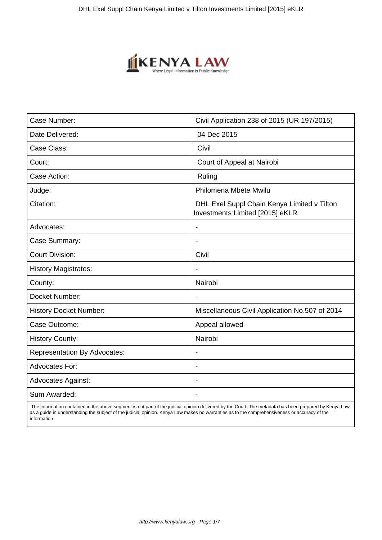

| Case Number:                        | Civil Application 238 of 2015 (UR 197/2015)                                    |
|-------------------------------------|--------------------------------------------------------------------------------|
| Date Delivered:                     | 04 Dec 2015                                                                    |
| Case Class:                         | Civil                                                                          |
| Court:                              | Court of Appeal at Nairobi                                                     |
| Case Action:                        | Ruling                                                                         |
| Judge:                              | Philomena Mbete Mwilu                                                          |
| Citation:                           | DHL Exel Suppl Chain Kenya Limited v Tilton<br>Investments Limited [2015] eKLR |
| Advocates:                          |                                                                                |
| Case Summary:                       |                                                                                |
| <b>Court Division:</b>              | Civil                                                                          |
| <b>History Magistrates:</b>         | $\blacksquare$                                                                 |
| County:                             | Nairobi                                                                        |
| Docket Number:                      |                                                                                |
| <b>History Docket Number:</b>       | Miscellaneous Civil Application No.507 of 2014                                 |
| Case Outcome:                       | Appeal allowed                                                                 |
| <b>History County:</b>              | Nairobi                                                                        |
| <b>Representation By Advocates:</b> | $\blacksquare$                                                                 |
| <b>Advocates For:</b>               | $\blacksquare$                                                                 |
| <b>Advocates Against:</b>           |                                                                                |
| Sum Awarded:                        |                                                                                |

 The information contained in the above segment is not part of the judicial opinion delivered by the Court. The metadata has been prepared by Kenya Law as a guide in understanding the subject of the judicial opinion. Kenya Law makes no warranties as to the comprehensiveness or accuracy of the information.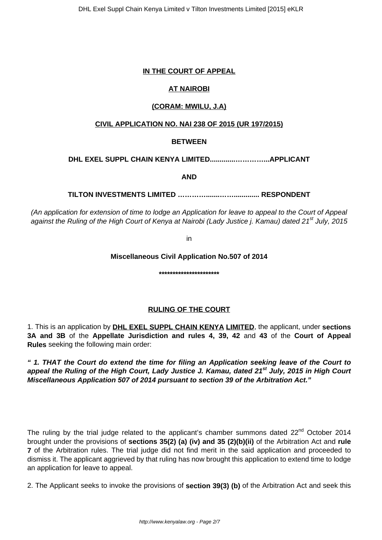## **IN THE COURT OF APPEAL**

# **AT NAIROBI**

# **(CORAM: MWILU, J.A)**

## **CIVIL APPLICATION NO. NAI 238 OF 2015 (UR 197/2015)**

## **BETWEEN**

## **DHL EXEL SUPPL CHAIN KENYA LIMITED.............…………...APPLICANT**

**AND**

## **TILTON INVESTMENTS LIMITED ………….......……............. RESPONDENT**

(An application for extension of time to lodge an Application for leave to appeal to the Court of Appeal against the Ruling of the High Court of Kenya at Nairobi (Lady Justice j. Kamau) dated 21<sup>st</sup> July, 2015

in

#### **Miscellaneous Civil Application No.507 of 2014**

**\*\*\*\*\*\*\*\*\*\*\*\*\*\*\*\*\*\*\*\*\*\***

## **RULING OF THE COURT**

1. This is an application by **DHL EXEL SUPPL CHAIN KENYA LIMITED**, the applicant, under **sections 3A and 3B** of the **Appellate Jurisdiction and rules 4, 39, 42** and **43** of the **Court of Appeal Rules** seeking the following main order:

**" 1. THAT the Court do extend the time for filing an Application seeking leave of the Court to appeal the Ruling of the High Court, Lady Justice J. Kamau, dated 21st July, 2015 in High Court Miscellaneous Application 507 of 2014 pursuant to section 39 of the Arbitration Act."**

The ruling by the trial judge related to the applicant's chamber summons dated 22<sup>nd</sup> October 2014 brought under the provisions of **sections 35(2) (a) (iv) and 35 (2)(b)(ii)** of the Arbitration Act and **rule 7** of the Arbitration rules. The trial judge did not find merit in the said application and proceeded to dismiss it. The applicant aggrieved by that ruling has now brought this application to extend time to lodge an application for leave to appeal.

2. The Applicant seeks to invoke the provisions of **section 39(3) (b)** of the Arbitration Act and seek this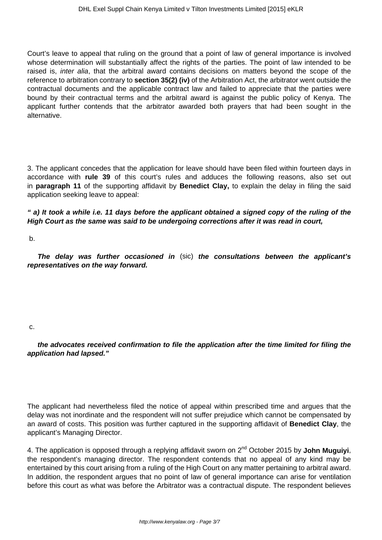Court's leave to appeal that ruling on the ground that a point of law of general importance is involved whose determination will substantially affect the rights of the parties. The point of law intended to be raised is, inter alia, that the arbitral award contains decisions on matters beyond the scope of the reference to arbitration contrary to **section 35(2) (iv)** of the Arbitration Act, the arbitrator went outside the contractual documents and the applicable contract law and failed to appreciate that the parties were bound by their contractual terms and the arbitral award is against the public policy of Kenya. The applicant further contends that the arbitrator awarded both prayers that had been sought in the alternative.

3. The applicant concedes that the application for leave should have been filed within fourteen days in accordance with **rule 39** of this court's rules and adduces the following reasons, also set out in **paragraph 11** of the supporting affidavit by **Benedict Clay,** to explain the delay in filing the said application seeking leave to appeal:

**" a) It took a while i.e. 11 days before the applicant obtained a signed copy of the ruling of the High Court as the same was said to be undergoing corrections after it was read in court,**

b.

**The delay was further occasioned in** (sic) **the consultations between the applicant's representatives on the way forward.** 

#### c.

**the advocates received confirmation to file the application after the time limited for filing the application had lapsed."** 

The applicant had nevertheless filed the notice of appeal within prescribed time and argues that the delay was not inordinate and the respondent will not suffer prejudice which cannot be compensated by an award of costs. This position was further captured in the supporting affidavit of **Benedict Clay**, the applicant's Managing Director.

4. The application is opposed through a replying affidavit sworn on 2nd October 2015 by **John Muguiyi**, the respondent's managing director. The respondent contends that no appeal of any kind may be entertained by this court arising from a ruling of the High Court on any matter pertaining to arbitral award. In addition, the respondent argues that no point of law of general importance can arise for ventilation before this court as what was before the Arbitrator was a contractual dispute. The respondent believes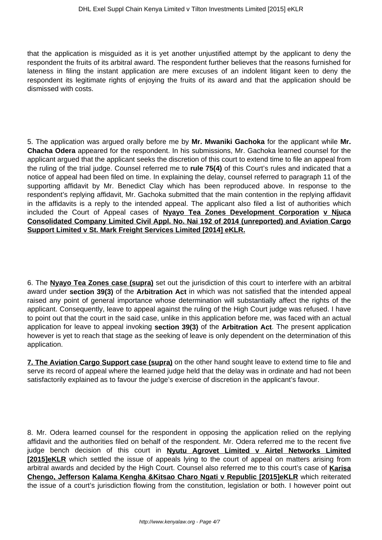that the application is misguided as it is yet another unjustified attempt by the applicant to deny the respondent the fruits of its arbitral award. The respondent further believes that the reasons furnished for lateness in filing the instant application are mere excuses of an indolent litigant keen to deny the respondent its legitimate rights of enjoying the fruits of its award and that the application should be dismissed with costs.

5. The application was argued orally before me by **Mr. Mwaniki Gachoka** for the applicant while **Mr. Chacha Odera** appeared for the respondent. In his submissions, Mr. Gachoka learned counsel for the applicant argued that the applicant seeks the discretion of this court to extend time to file an appeal from the ruling of the trial judge. Counsel referred me to **rule 75(4)** of this Court's rules and indicated that a notice of appeal had been filed on time. In explaining the delay, counsel referred to paragraph 11 of the supporting affidavit by Mr. Benedict Clay which has been reproduced above. In response to the respondent's replying affidavit, Mr. Gachoka submitted that the main contention in the replying affidavit in the affidavits is a reply to the intended appeal. The applicant also filed a list of authorities which included the Court of Appeal cases of **Nyayo Tea Zones Development Corporation v Njuca Consolidated Company Limited Civil Appl. No. Nai 192 of 2014 (unreported) and Aviation Cargo Support Limited v St. Mark Freight Services Limited [2014] eKLR.**

6. The **Nyayo Tea Zones case (supra)** set out the jurisdiction of this court to interfere with an arbitral award under **section 39(3)** of the **Arbitration Act** in which was not satisfied that the intended appeal raised any point of general importance whose determination will substantially affect the rights of the applicant. Consequently, leave to appeal against the ruling of the High Court judge was refused. I have to point out that the court in the said case, unlike in this application before me, was faced with an actual application for leave to appeal invoking **section 39(3)** of the **Arbitration Act**. The present application however is yet to reach that stage as the seeking of leave is only dependent on the determination of this application.

**7. The Aviation Cargo Support case (supra)** on the other hand sought leave to extend time to file and serve its record of appeal where the learned judge held that the delay was in ordinate and had not been satisfactorily explained as to favour the judge's exercise of discretion in the applicant's favour.

8. Mr. Odera learned counsel for the respondent in opposing the application relied on the replying affidavit and the authorities filed on behalf of the respondent. Mr. Odera referred me to the recent five judge bench decision of this court in **Nyutu Agrovet Limited v Airtel Networks Limited [2015]eKLR** which settled the issue of appeals lying to the court of appeal on matters arising from arbitral awards and decided by the High Court. Counsel also referred me to this court's case of **Karisa Chengo, Jefferson Kalama Kengha &Kitsao Charo Ngati v Republic [2015]eKLR** which reiterated the issue of a court's jurisdiction flowing from the constitution, legislation or both. I however point out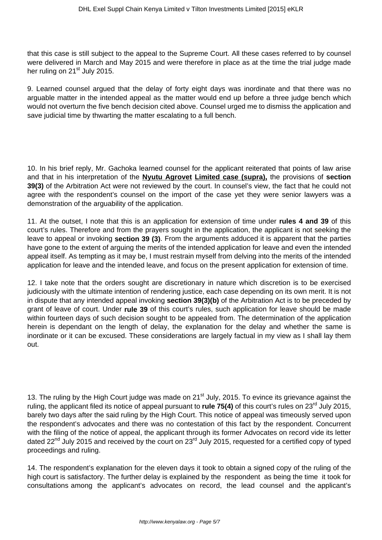that this case is still subject to the appeal to the Supreme Court. All these cases referred to by counsel were delivered in March and May 2015 and were therefore in place as at the time the trial judge made her ruling on 21<sup>st</sup> July 2015.

9. Learned counsel argued that the delay of forty eight days was inordinate and that there was no arguable matter in the intended appeal as the matter would end up before a three judge bench which would not overturn the five bench decision cited above. Counsel urged me to dismiss the application and save judicial time by thwarting the matter escalating to a full bench.

10. In his brief reply, Mr. Gachoka learned counsel for the applicant reiterated that points of law arise and that in his interpretation of the **Nyutu Agrovet Limited case (supra),** the provisions of **section 39(3)** of the Arbitration Act were not reviewed by the court. In counsel's view, the fact that he could not agree with the respondent's counsel on the import of the case yet they were senior lawyers was a demonstration of the arguability of the application.

11. At the outset, I note that this is an application for extension of time under **rules 4 and 39** of this court's rules. Therefore and from the prayers sought in the application, the applicant is not seeking the leave to appeal or invoking **section 39 (3)**. From the arguments adduced it is apparent that the parties have gone to the extent of arguing the merits of the intended application for leave and even the intended appeal itself. As tempting as it may be, I must restrain myself from delving into the merits of the intended application for leave and the intended leave, and focus on the present application for extension of time.

12. I take note that the orders sought are discretionary in nature which discretion is to be exercised judiciously with the ultimate intention of rendering justice, each case depending on its own merit. It is not in dispute that any intended appeal invoking **section 39(3)(b)** of the Arbitration Act is to be preceded by grant of leave of court. Under **rule 39** of this court's rules, such application for leave should be made within fourteen days of such decision sought to be appealed from. The determination of the application herein is dependant on the length of delay, the explanation for the delay and whether the same is inordinate or it can be excused. These considerations are largely factual in my view as I shall lay them out.

13. The ruling by the High Court judge was made on 21<sup>st</sup> July, 2015. To evince its grievance against the ruling, the applicant filed its notice of appeal pursuant to **rule 75(4)** of this court's rules on 23<sup>rd</sup> July 2015, barely two days after the said ruling by the High Court. This notice of appeal was timeously served upon the respondent's advocates and there was no contestation of this fact by the respondent. Concurrent with the filing of the notice of appeal, the applicant through its former Advocates on record vide its letter dated 22<sup>nd</sup> July 2015 and received by the court on 23<sup>rd</sup> July 2015, requested for a certified copy of typed proceedings and ruling.

14. The respondent's explanation for the eleven days it took to obtain a signed copy of the ruling of the high court is satisfactory. The further delay is explained by the respondent as being the time it took for consultations among the applicant's advocates on record, the lead counsel and the applicant's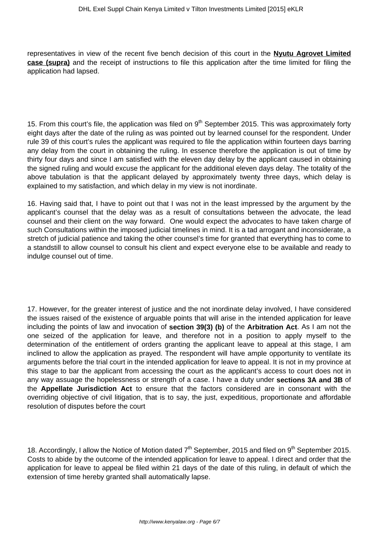representatives in view of the recent five bench decision of this court in the **Nyutu Agrovet Limited case (supra)** and the receipt of instructions to file this application after the time limited for filing the application had lapsed.

15. From this court's file, the application was filed on  $9<sup>th</sup>$  September 2015. This was approximately forty eight days after the date of the ruling as was pointed out by learned counsel for the respondent. Under rule 39 of this court's rules the applicant was required to file the application within fourteen days barring any delay from the court in obtaining the ruling. In essence therefore the application is out of time by thirty four days and since I am satisfied with the eleven day delay by the applicant caused in obtaining the signed ruling and would excuse the applicant for the additional eleven days delay. The totality of the above tabulation is that the applicant delayed by approximately twenty three days, which delay is explained to my satisfaction, and which delay in my view is not inordinate.

16. Having said that, I have to point out that I was not in the least impressed by the argument by the applicant's counsel that the delay was as a result of consultations between the advocate, the lead counsel and their client on the way forward. One would expect the advocates to have taken charge of such Consultations within the imposed judicial timelines in mind. It is a tad arrogant and inconsiderate, a stretch of judicial patience and taking the other counsel's time for granted that everything has to come to a standstill to allow counsel to consult his client and expect everyone else to be available and ready to indulge counsel out of time.

17. However, for the greater interest of justice and the not inordinate delay involved, I have considered the issues raised of the existence of arguable points that will arise in the intended application for leave including the points of law and invocation of **section 39(3) (b)** of the **Arbitration Act**. As I am not the one seized of the application for leave, and therefore not in a position to apply myself to the determination of the entitlement of orders granting the applicant leave to appeal at this stage, I am inclined to allow the application as prayed. The respondent will have ample opportunity to ventilate its arguments before the trial court in the intended application for leave to appeal. It is not in my province at this stage to bar the applicant from accessing the court as the applicant's access to court does not in any way assuage the hopelessness or strength of a case. I have a duty under **sections 3A and 3B** of the **Appellate Jurisdiction Act** to ensure that the factors considered are in consonant with the overriding objective of civil litigation, that is to say, the just, expeditious, proportionate and affordable resolution of disputes before the court

18. Accordingly, I allow the Notice of Motion dated  $7<sup>th</sup>$  September, 2015 and filed on  $9<sup>th</sup>$  September 2015. Costs to abide by the outcome of the intended application for leave to appeal. I direct and order that the application for leave to appeal be filed within 21 days of the date of this ruling, in default of which the extension of time hereby granted shall automatically lapse.